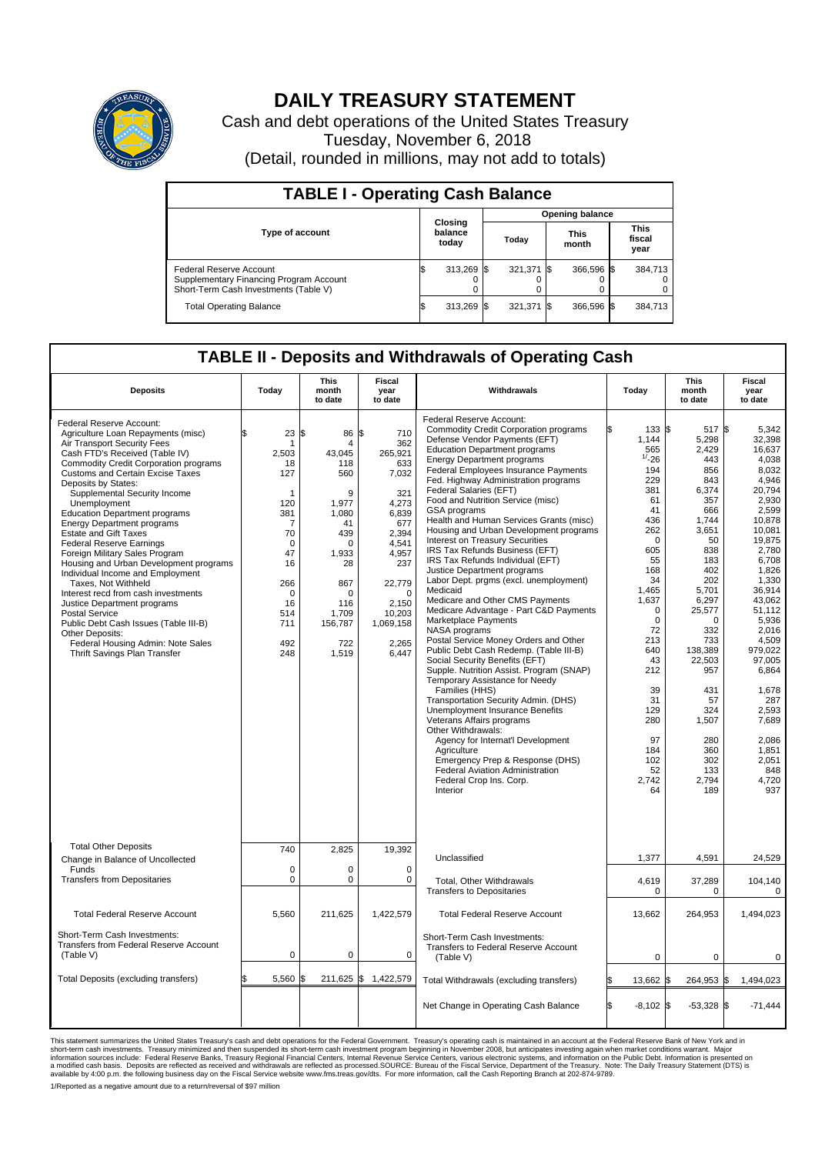

## **DAILY TREASURY STATEMENT**

Cash and debt operations of the United States Treasury Tuesday, November 6, 2018 (Detail, rounded in millions, may not add to totals)

| <b>TABLE I - Operating Cash Balance</b>                                                                     |  |                             |                        |            |  |                      |  |                               |  |  |  |
|-------------------------------------------------------------------------------------------------------------|--|-----------------------------|------------------------|------------|--|----------------------|--|-------------------------------|--|--|--|
|                                                                                                             |  |                             | <b>Opening balance</b> |            |  |                      |  |                               |  |  |  |
| <b>Type of account</b>                                                                                      |  | Closing<br>balance<br>today |                        | Today      |  | <b>This</b><br>month |  | <b>This</b><br>fiscal<br>year |  |  |  |
| Federal Reserve Account<br>Supplementary Financing Program Account<br>Short-Term Cash Investments (Table V) |  | 313,269 \$                  |                        | 321,371 \$ |  | 366.596 \$           |  | 384.713                       |  |  |  |
| <b>Total Operating Balance</b>                                                                              |  | 313,269 \$                  |                        | 321,371 \$ |  | 366,596 \$           |  | 384,713                       |  |  |  |

## **TABLE II - Deposits and Withdrawals of Operating Cash**

| <b>Deposits</b>                                                                                                                                                                                                                                                                                                                                                                                                                                                                                                                                                                                                                                                                                                                                                                                                          | Today                                                                                                                                                       | <b>This</b><br>month<br>to date                                                                                                                                 | <b>Fiscal</b><br>year<br>to date                                                                                                                                                   | Withdrawals                                                                                                                                                                                                                                                                                                                                                                                                                                                                                                                                                                                                                                                                                                                                                                                                                                                                                                                                                                                                                                                                                                                                                                                                                                                                                      | Today                                                                                                                                                                                                                                                                                 | <b>This</b><br>month<br>to date                                                                                                                                                                                                                                                   | <b>Fiscal</b><br>year<br>to date                                                                                                                                                                                                                                                                                              |  |
|--------------------------------------------------------------------------------------------------------------------------------------------------------------------------------------------------------------------------------------------------------------------------------------------------------------------------------------------------------------------------------------------------------------------------------------------------------------------------------------------------------------------------------------------------------------------------------------------------------------------------------------------------------------------------------------------------------------------------------------------------------------------------------------------------------------------------|-------------------------------------------------------------------------------------------------------------------------------------------------------------|-----------------------------------------------------------------------------------------------------------------------------------------------------------------|------------------------------------------------------------------------------------------------------------------------------------------------------------------------------------|--------------------------------------------------------------------------------------------------------------------------------------------------------------------------------------------------------------------------------------------------------------------------------------------------------------------------------------------------------------------------------------------------------------------------------------------------------------------------------------------------------------------------------------------------------------------------------------------------------------------------------------------------------------------------------------------------------------------------------------------------------------------------------------------------------------------------------------------------------------------------------------------------------------------------------------------------------------------------------------------------------------------------------------------------------------------------------------------------------------------------------------------------------------------------------------------------------------------------------------------------------------------------------------------------|---------------------------------------------------------------------------------------------------------------------------------------------------------------------------------------------------------------------------------------------------------------------------------------|-----------------------------------------------------------------------------------------------------------------------------------------------------------------------------------------------------------------------------------------------------------------------------------|-------------------------------------------------------------------------------------------------------------------------------------------------------------------------------------------------------------------------------------------------------------------------------------------------------------------------------|--|
| Federal Reserve Account:<br>Agriculture Loan Repayments (misc)<br>Air Transport Security Fees<br>Cash FTD's Received (Table IV)<br><b>Commodity Credit Corporation programs</b><br><b>Customs and Certain Excise Taxes</b><br>Deposits by States:<br>Supplemental Security Income<br>Unemployment<br><b>Education Department programs</b><br><b>Energy Department programs</b><br><b>Estate and Gift Taxes</b><br><b>Federal Reserve Earnings</b><br>Foreign Military Sales Program<br>Housing and Urban Development programs<br>Individual Income and Employment<br>Taxes, Not Withheld<br>Interest recd from cash investments<br>Justice Department programs<br><b>Postal Service</b><br>Public Debt Cash Issues (Table III-B)<br>Other Deposits:<br>Federal Housing Admin: Note Sales<br>Thrift Savings Plan Transfer | 23<br>ፍ<br>1<br>2,503<br>18<br>127<br>$\mathbf{1}$<br>120<br>381<br>7<br>70<br>$\Omega$<br>47<br>16<br>266<br>$\mathbf 0$<br>16<br>514<br>711<br>492<br>248 | 86 \$<br>l\$<br>4<br>43.045<br>118<br>560<br>9<br>1.977<br>1,080<br>41<br>439<br>$\Omega$<br>1,933<br>28<br>867<br>O<br>116<br>1,709<br>156,787<br>722<br>1,519 | 710<br>362<br>265,921<br>633<br>7,032<br>321<br>4.273<br>6,839<br>677<br>2,394<br>4,541<br>4,957<br>237<br>22,779<br>$\mathbf 0$<br>2,150<br>10,203<br>1,069,158<br>2,265<br>6,447 | Federal Reserve Account:<br><b>Commodity Credit Corporation programs</b><br>Defense Vendor Payments (EFT)<br><b>Education Department programs</b><br><b>Energy Department programs</b><br><b>Federal Employees Insurance Payments</b><br>Fed. Highway Administration programs<br>Federal Salaries (EFT)<br>Food and Nutrition Service (misc)<br><b>GSA</b> programs<br>Health and Human Services Grants (misc)<br>Housing and Urban Development programs<br>Interest on Treasury Securities<br>IRS Tax Refunds Business (EFT)<br>IRS Tax Refunds Individual (EFT)<br>Justice Department programs<br>Labor Dept. prgms (excl. unemployment)<br>Medicaid<br>Medicare and Other CMS Payments<br>Medicare Advantage - Part C&D Payments<br>Marketplace Payments<br>NASA programs<br>Postal Service Money Orders and Other<br>Public Debt Cash Redemp. (Table III-B)<br>Social Security Benefits (EFT)<br>Supple. Nutrition Assist. Program (SNAP)<br>Temporary Assistance for Needy<br>Families (HHS)<br>Transportation Security Admin. (DHS)<br>Unemployment Insurance Benefits<br>Veterans Affairs programs<br>Other Withdrawals:<br>Agency for Internat'l Development<br>Agriculture<br>Emergency Prep & Response (DHS)<br>Federal Aviation Administration<br>Federal Crop Ins. Corp.<br>Interior | ß.<br>133 \$<br>1.144<br>565<br>$^{1/2}$ -26<br>194<br>229<br>381<br>61<br>41<br>436<br>262<br>$\mathbf 0$<br>605<br>55<br>168<br>34<br>1,465<br>1,637<br>$\mathbf 0$<br>$\Omega$<br>72<br>213<br>640<br>43<br>212<br>39<br>31<br>129<br>280<br>97<br>184<br>102<br>52<br>2,742<br>64 | 517S<br>5,298<br>2,429<br>443<br>856<br>843<br>6,374<br>357<br>666<br>1,744<br>3,651<br>50<br>838<br>183<br>402<br>202<br>5,701<br>6,297<br>25,577<br>$\Omega$<br>332<br>733<br>138,389<br>22,503<br>957<br>431<br>57<br>324<br>1,507<br>280<br>360<br>302<br>133<br>2.794<br>189 | 5,342<br>32.398<br>16,637<br>4,038<br>8.032<br>4,946<br>20,794<br>2,930<br>2.599<br>10,878<br>10,081<br>19,875<br>2,780<br>6,708<br>1,826<br>1,330<br>36.914<br>43,062<br>51,112<br>5,936<br>2.016<br>4,509<br>979.022<br>97,005<br>6.864<br>1,678<br>287<br>2,593<br>7,689<br>2.086<br>1,851<br>2,051<br>848<br>4,720<br>937 |  |
| <b>Total Other Deposits</b><br>Change in Balance of Uncollected                                                                                                                                                                                                                                                                                                                                                                                                                                                                                                                                                                                                                                                                                                                                                          | 740                                                                                                                                                         | 2,825                                                                                                                                                           | 19,392                                                                                                                                                                             | Unclassified                                                                                                                                                                                                                                                                                                                                                                                                                                                                                                                                                                                                                                                                                                                                                                                                                                                                                                                                                                                                                                                                                                                                                                                                                                                                                     | 1,377                                                                                                                                                                                                                                                                                 | 4,591                                                                                                                                                                                                                                                                             | 24,529                                                                                                                                                                                                                                                                                                                        |  |
| Funds<br><b>Transfers from Depositaries</b>                                                                                                                                                                                                                                                                                                                                                                                                                                                                                                                                                                                                                                                                                                                                                                              | $\mathbf 0$<br>$\mathbf 0$                                                                                                                                  | $\Omega$<br>0                                                                                                                                                   | $\mathbf 0$<br>0                                                                                                                                                                   | Total, Other Withdrawals<br><b>Transfers to Depositaries</b>                                                                                                                                                                                                                                                                                                                                                                                                                                                                                                                                                                                                                                                                                                                                                                                                                                                                                                                                                                                                                                                                                                                                                                                                                                     | 4,619<br>$\mathbf 0$                                                                                                                                                                                                                                                                  | 37,289<br>0                                                                                                                                                                                                                                                                       | 104,140<br>$\mathbf 0$                                                                                                                                                                                                                                                                                                        |  |
| <b>Total Federal Reserve Account</b>                                                                                                                                                                                                                                                                                                                                                                                                                                                                                                                                                                                                                                                                                                                                                                                     | 5,560                                                                                                                                                       | 211,625                                                                                                                                                         | 1,422,579                                                                                                                                                                          | <b>Total Federal Reserve Account</b>                                                                                                                                                                                                                                                                                                                                                                                                                                                                                                                                                                                                                                                                                                                                                                                                                                                                                                                                                                                                                                                                                                                                                                                                                                                             | 13,662                                                                                                                                                                                                                                                                                | 264,953                                                                                                                                                                                                                                                                           | 1,494,023                                                                                                                                                                                                                                                                                                                     |  |
| Short-Term Cash Investments:<br>Transfers from Federal Reserve Account<br>(Table V)                                                                                                                                                                                                                                                                                                                                                                                                                                                                                                                                                                                                                                                                                                                                      | $\mathbf 0$                                                                                                                                                 | 0                                                                                                                                                               | $\mathbf 0$                                                                                                                                                                        | Short-Term Cash Investments:<br><b>Transfers to Federal Reserve Account</b><br>(Table V)                                                                                                                                                                                                                                                                                                                                                                                                                                                                                                                                                                                                                                                                                                                                                                                                                                                                                                                                                                                                                                                                                                                                                                                                         | 0                                                                                                                                                                                                                                                                                     | 0                                                                                                                                                                                                                                                                                 | 0                                                                                                                                                                                                                                                                                                                             |  |
| Total Deposits (excluding transfers)                                                                                                                                                                                                                                                                                                                                                                                                                                                                                                                                                                                                                                                                                                                                                                                     | 5,560                                                                                                                                                       |                                                                                                                                                                 | 211,625 \$ 1,422,579                                                                                                                                                               | Total Withdrawals (excluding transfers)                                                                                                                                                                                                                                                                                                                                                                                                                                                                                                                                                                                                                                                                                                                                                                                                                                                                                                                                                                                                                                                                                                                                                                                                                                                          | 13,662 \$                                                                                                                                                                                                                                                                             | 264,953 \$                                                                                                                                                                                                                                                                        | 1,494,023                                                                                                                                                                                                                                                                                                                     |  |
|                                                                                                                                                                                                                                                                                                                                                                                                                                                                                                                                                                                                                                                                                                                                                                                                                          |                                                                                                                                                             |                                                                                                                                                                 |                                                                                                                                                                                    | Net Change in Operating Cash Balance                                                                                                                                                                                                                                                                                                                                                                                                                                                                                                                                                                                                                                                                                                                                                                                                                                                                                                                                                                                                                                                                                                                                                                                                                                                             | l\$<br>$-8,102$ \$                                                                                                                                                                                                                                                                    | $-53,328$ \$                                                                                                                                                                                                                                                                      | $-71,444$                                                                                                                                                                                                                                                                                                                     |  |

This statement summarizes the United States Treasury's cash and debt operations for the Federal Government. Treasury operating in November 2008, but anticinates investing again when market conditions warrant. Major York an

1/Reported as a negative amount due to a return/reversal of \$97 million